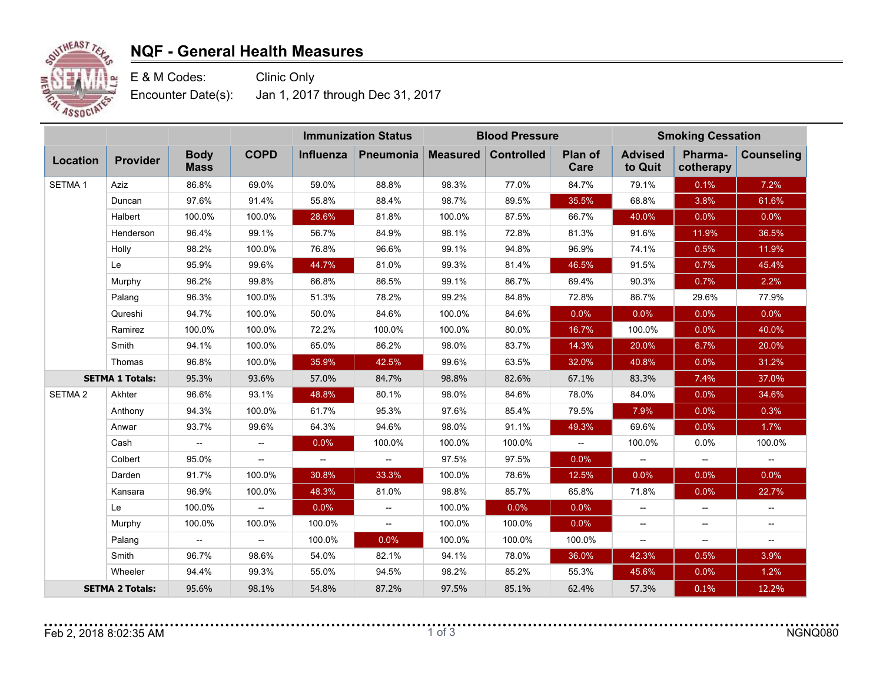

## **NQF - General Health Measures**

E & M Codes: Clinic Only Encounter Date(s): Jan 1, 2017 through Dec 31, 2017

|                        |                 |                                    |                                    | <b>Immunization Status</b> |                  | <b>Blood Pressure</b> |                   |                          | <b>Smoking Cessation</b>  |                          |                   |
|------------------------|-----------------|------------------------------------|------------------------------------|----------------------------|------------------|-----------------------|-------------------|--------------------------|---------------------------|--------------------------|-------------------|
| Location               | <b>Provider</b> | <b>Body</b><br><b>Mass</b>         | <b>COPD</b>                        | Influenza                  | <b>Pneumonia</b> | <b>Measured</b>       | <b>Controlled</b> | Plan of<br>Care          | <b>Advised</b><br>to Quit | Pharma-<br>cotherapy     | <b>Counseling</b> |
| SETMA <sub>1</sub>     | <b>Aziz</b>     | 86.8%                              | 69.0%                              | 59.0%                      | 88.8%            | 98.3%                 | 77.0%             | 84.7%                    | 79.1%                     | 0.1%                     | 7.2%              |
|                        | Duncan          | 97.6%                              | 91.4%                              | 55.8%                      | 88.4%            | 98.7%                 | 89.5%             | 35.5%                    | 68.8%                     | 3.8%                     | 61.6%             |
|                        | Halbert         | 100.0%                             | 100.0%                             | 28.6%                      | 81.8%            | 100.0%                | 87.5%             | 66.7%                    | 40.0%                     | 0.0%                     | 0.0%              |
|                        | Henderson       | 96.4%                              | 99.1%                              | 56.7%                      | 84.9%            | 98.1%                 | 72.8%             | 81.3%                    | 91.6%                     | 11.9%                    | 36.5%             |
|                        | Holly           | 98.2%                              | 100.0%                             | 76.8%                      | 96.6%            | 99.1%                 | 94.8%             | 96.9%                    | 74.1%                     | 0.5%                     | 11.9%             |
|                        | Le              | 95.9%                              | 99.6%                              | 44.7%                      | 81.0%            | 99.3%                 | 81.4%             | 46.5%                    | 91.5%                     | 0.7%                     | 45.4%             |
|                        | Murphy          | 96.2%                              | 99.8%                              | 66.8%                      | 86.5%            | 99.1%                 | 86.7%             | 69.4%                    | 90.3%                     | 0.7%                     | 2.2%              |
|                        | Palang          | 96.3%                              | 100.0%                             | 51.3%                      | 78.2%            | 99.2%                 | 84.8%             | 72.8%                    | 86.7%                     | 29.6%                    | 77.9%             |
|                        | Qureshi         | 94.7%                              | 100.0%                             | 50.0%                      | 84.6%            | 100.0%                | 84.6%             | 0.0%                     | 0.0%                      | 0.0%                     | 0.0%              |
|                        | Ramirez         | 100.0%                             | 100.0%                             | 72.2%                      | 100.0%           | 100.0%                | 80.0%             | 16.7%                    | 100.0%                    | 0.0%                     | 40.0%             |
|                        | Smith           | 94.1%                              | 100.0%                             | 65.0%                      | 86.2%            | 98.0%                 | 83.7%             | 14.3%                    | 20.0%                     | 6.7%                     | 20.0%             |
|                        | Thomas          | 96.8%                              | 100.0%                             | 35.9%                      | 42.5%            | 99.6%                 | 63.5%             | 32.0%                    | 40.8%                     | 0.0%                     | 31.2%             |
| <b>SETMA 1 Totals:</b> |                 | 95.3%                              | 93.6%                              | 57.0%                      | 84.7%            | 98.8%                 | 82.6%             | 67.1%                    | 83.3%                     | 7.4%                     | 37.0%             |
| SETMA <sub>2</sub>     | Akhter          | 96.6%                              | 93.1%                              | 48.8%                      | 80.1%            | 98.0%                 | 84.6%             | 78.0%                    | 84.0%                     | 0.0%                     | 34.6%             |
|                        | Anthony         | 94.3%                              | 100.0%                             | 61.7%                      | 95.3%            | 97.6%                 | 85.4%             | 79.5%                    | 7.9%                      | 0.0%                     | 0.3%              |
|                        | Anwar           | 93.7%                              | 99.6%                              | 64.3%                      | 94.6%            | 98.0%                 | 91.1%             | 49.3%                    | 69.6%                     | 0.0%                     | 1.7%              |
|                        | Cash            | $\hspace{0.05cm} -\hspace{0.05cm}$ | $\hspace{0.05cm} -\hspace{0.05cm}$ | 0.0%                       | 100.0%           | 100.0%                | 100.0%            | $\overline{\phantom{a}}$ | 100.0%                    | 0.0%                     | 100.0%            |
|                        | Colbert         | 95.0%                              | $- -$                              | $\overline{\phantom{a}}$   | --               | 97.5%                 | 97.5%             | 0.0%                     | --                        | $\hspace{0.05cm} \dashv$ |                   |
|                        | Darden          | 91.7%                              | 100.0%                             | 30.8%                      | 33.3%            | 100.0%                | 78.6%             | 12.5%                    | 0.0%                      | 0.0%                     | 0.0%              |
|                        | Kansara         | 96.9%                              | 100.0%                             | 48.3%                      | 81.0%            | 98.8%                 | 85.7%             | 65.8%                    | 71.8%                     | 0.0%                     | 22.7%             |
|                        | Le              | 100.0%                             | $-$                                | 0.0%                       | --               | 100.0%                | 0.0%              | 0.0%                     | $\overline{\phantom{a}}$  | $\overline{\phantom{a}}$ | $-$               |
|                        | Murphy          | 100.0%                             | 100.0%                             | 100.0%                     | --               | 100.0%                | 100.0%            | 0.0%                     | $\overline{\phantom{a}}$  | $\overline{\phantom{a}}$ | --                |
|                        | Palang          | $\overline{\phantom{0}}$           | $-$                                | 100.0%                     | 0.0%             | 100.0%                | 100.0%            | 100.0%                   | $\overline{\phantom{a}}$  | $\overline{\phantom{a}}$ | $-$               |
|                        | Smith           | 96.7%                              | 98.6%                              | 54.0%                      | 82.1%            | 94.1%                 | 78.0%             | 36.0%                    | 42.3%                     | 0.5%                     | 3.9%              |
|                        | Wheeler         | 94.4%                              | 99.3%                              | 55.0%                      | 94.5%            | 98.2%                 | 85.2%             | 55.3%                    | 45.6%                     | 0.0%                     | 1.2%              |
| <b>SETMA 2 Totals:</b> |                 | 95.6%                              | 98.1%                              | 54.8%                      | 87.2%            | 97.5%                 | 85.1%             | 62.4%                    | 57.3%                     | 0.1%                     | 12.2%             |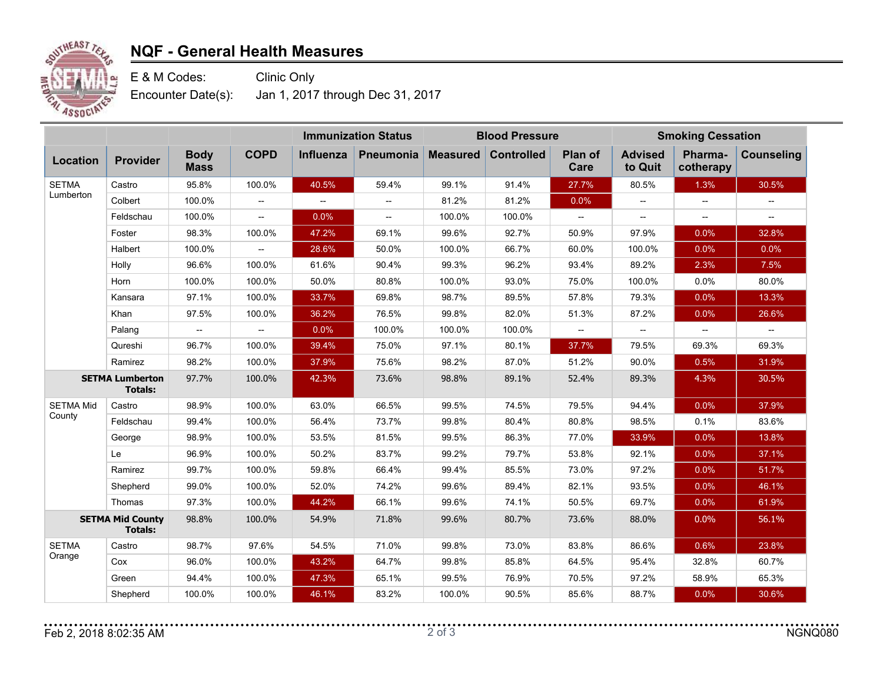

## **NQF - General Health Measures**

E & M Codes: Clinic Only Encounter Date(s): Jan 1, 2017 through Dec 31, 2017

|                                           |           |                            |                                                     | <b>Immunization Status</b> |                          | <b>Blood Pressure</b> |                   |                          | <b>Smoking Cessation</b>                            |                          |                          |
|-------------------------------------------|-----------|----------------------------|-----------------------------------------------------|----------------------------|--------------------------|-----------------------|-------------------|--------------------------|-----------------------------------------------------|--------------------------|--------------------------|
| Location                                  | Provider  | <b>Body</b><br><b>Mass</b> | <b>COPD</b>                                         | Influenza                  | <b>Pneumonia</b>         | <b>Measured</b>       | <b>Controlled</b> | Plan of<br>Care          | <b>Advised</b><br>to Quit                           | Pharma-<br>cotherapy     | <b>Counseling</b>        |
| <b>SETMA</b><br>Lumberton                 | Castro    | 95.8%                      | 100.0%                                              | 40.5%                      | 59.4%                    | 99.1%                 | 91.4%             | 27.7%                    | 80.5%                                               | 1.3%                     | 30.5%                    |
|                                           | Colbert   | 100.0%                     | $\overline{\phantom{a}}$                            | $\overline{\phantom{a}}$   | $\overline{\phantom{a}}$ | 81.2%                 | 81.2%             | 0.0%                     | $\overline{\phantom{a}}$                            | $\overline{\phantom{a}}$ |                          |
|                                           | Feldschau | 100.0%                     | $\hspace{0.05cm} -\hspace{0.05cm} -\hspace{0.05cm}$ | 0.0%                       | $\overline{\phantom{0}}$ | 100.0%                | 100.0%            | $\overline{\phantom{a}}$ | $\hspace{0.05cm} -\hspace{0.05cm} -\hspace{0.05cm}$ | $\overline{\phantom{a}}$ | $\overline{\phantom{a}}$ |
|                                           | Foster    | 98.3%                      | 100.0%                                              | 47.2%                      | 69.1%                    | 99.6%                 | 92.7%             | 50.9%                    | 97.9%                                               | 0.0%                     | 32.8%                    |
|                                           | Halbert   | 100.0%                     | $\overline{\phantom{a}}$                            | 28.6%                      | 50.0%                    | 100.0%                | 66.7%             | 60.0%                    | 100.0%                                              | 0.0%                     | 0.0%                     |
|                                           | Holly     | 96.6%                      | 100.0%                                              | 61.6%                      | 90.4%                    | 99.3%                 | 96.2%             | 93.4%                    | 89.2%                                               | 2.3%                     | 7.5%                     |
|                                           | Horn      | 100.0%                     | 100.0%                                              | 50.0%                      | 80.8%                    | 100.0%                | 93.0%             | 75.0%                    | 100.0%                                              | 0.0%                     | 80.0%                    |
|                                           | Kansara   | 97.1%                      | 100.0%                                              | 33.7%                      | 69.8%                    | 98.7%                 | 89.5%             | 57.8%                    | 79.3%                                               | 0.0%                     | 13.3%                    |
|                                           | Khan      | 97.5%                      | 100.0%                                              | 36.2%                      | 76.5%                    | 99.8%                 | 82.0%             | 51.3%                    | 87.2%                                               | 0.0%                     | 26.6%                    |
|                                           | Palang    | $\hspace{0.05cm} \dashv$   | $\overline{\phantom{a}}$                            | 0.0%                       | 100.0%                   | 100.0%                | 100.0%            | --                       | $\hspace{0.05cm} -\hspace{0.05cm} -\hspace{0.05cm}$ | $- -$                    | $\overline{\phantom{a}}$ |
|                                           | Qureshi   | 96.7%                      | 100.0%                                              | 39.4%                      | 75.0%                    | 97.1%                 | 80.1%             | 37.7%                    | 79.5%                                               | 69.3%                    | 69.3%                    |
|                                           | Ramirez   | 98.2%                      | 100.0%                                              | 37.9%                      | 75.6%                    | 98.2%                 | 87.0%             | 51.2%                    | 90.0%                                               | 0.5%                     | 31.9%                    |
| <b>SETMA Lumberton</b><br><b>Totals:</b>  |           | 97.7%                      | 100.0%                                              | 42.3%                      | 73.6%                    | 98.8%                 | 89.1%             | 52.4%                    | 89.3%                                               | 4.3%                     | 30.5%                    |
| <b>SETMA Mid</b>                          | Castro    | 98.9%                      | 100.0%                                              | 63.0%                      | 66.5%                    | 99.5%                 | 74.5%             | 79.5%                    | 94.4%                                               | 0.0%                     | 37.9%                    |
| County                                    | Feldschau | 99.4%                      | 100.0%                                              | 56.4%                      | 73.7%                    | 99.8%                 | 80.4%             | 80.8%                    | 98.5%                                               | 0.1%                     | 83.6%                    |
|                                           | George    | 98.9%                      | 100.0%                                              | 53.5%                      | 81.5%                    | 99.5%                 | 86.3%             | 77.0%                    | 33.9%                                               | 0.0%                     | 13.8%                    |
|                                           | Le        | 96.9%                      | 100.0%                                              | 50.2%                      | 83.7%                    | 99.2%                 | 79.7%             | 53.8%                    | 92.1%                                               | 0.0%                     | 37.1%                    |
|                                           | Ramirez   | 99.7%                      | 100.0%                                              | 59.8%                      | 66.4%                    | 99.4%                 | 85.5%             | 73.0%                    | 97.2%                                               | 0.0%                     | 51.7%                    |
|                                           | Shepherd  | 99.0%                      | 100.0%                                              | 52.0%                      | 74.2%                    | 99.6%                 | 89.4%             | 82.1%                    | 93.5%                                               | 0.0%                     | 46.1%                    |
|                                           | Thomas    | 97.3%                      | 100.0%                                              | 44.2%                      | 66.1%                    | 99.6%                 | 74.1%             | 50.5%                    | 69.7%                                               | 0.0%                     | 61.9%                    |
| <b>SETMA Mid County</b><br><b>Totals:</b> |           | 98.8%                      | 100.0%                                              | 54.9%                      | 71.8%                    | 99.6%                 | 80.7%             | 73.6%                    | 88.0%                                               | 0.0%                     | 56.1%                    |
| <b>SETMA</b><br>Orange                    | Castro    | 98.7%                      | 97.6%                                               | 54.5%                      | 71.0%                    | 99.8%                 | 73.0%             | 83.8%                    | 86.6%                                               | 0.6%                     | 23.8%                    |
|                                           | Cox       | 96.0%                      | 100.0%                                              | 43.2%                      | 64.7%                    | 99.8%                 | 85.8%             | 64.5%                    | 95.4%                                               | 32.8%                    | 60.7%                    |
|                                           | Green     | 94.4%                      | 100.0%                                              | 47.3%                      | 65.1%                    | 99.5%                 | 76.9%             | 70.5%                    | 97.2%                                               | 58.9%                    | 65.3%                    |
|                                           | Shepherd  | 100.0%                     | 100.0%                                              | 46.1%                      | 83.2%                    | 100.0%                | 90.5%             | 85.6%                    | 88.7%                                               | 0.0%                     | 30.6%                    |